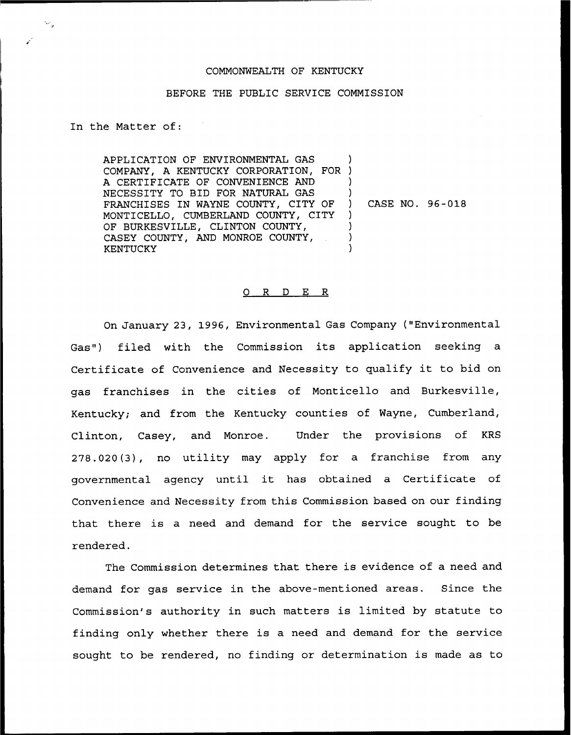## COMMONWEALTH OF KENTUCKY

## BEFORE THE PUBLIC SERVICE COMMISSION

In the Matter of:

₩.,

APPLICATION OF ENVIRONMENTAL GAS COMPANY, A KENTUCKY CORPORATION, FOR ) A CERTIFICATE OF CONVENIENCE AND NECESSITY TO BID FOR NATURAL GAS FRANCHISES IN WAYNE COUNTY, CITY OF MONTICELLO, CUMBERLAND COUNTY, CITY OF BURKESVILLE, CLINTON COUNTY, CASEY COUNTY, AND MONROE COUNTY, KENTUCKY ) ) ) ) CASE NO. 96-018 ) ) ) )

## 0 R <sup>D</sup> E R

On January 23, 1996, Environmental Gas Company ("Environmental Gas") filed with the Commission its application seeking a Certificate of Convenience and Necessity to qualify it to bid on gas franchises in the cities of Monticello and Burkesville, Kentucky; and from the Kentucky counties of Wayne, Cumberland, Clinton, Casey, and Monroe. Under the provisions of KRS 278.020(3), no utility may apply for a franchise from any governmental agency until it has obtained <sup>a</sup> Certificate of Convenience and Necessity from this Commission based on our finding that there is a need and demand for the service sought to be rendered.

The Commission determines that there is evidence of a need and demand for gas service in the above-mentioned areas. Since the Commission's authority in such matters is limited by statute to finding only whether there is a need and demand for the service sought to be rendered, no finding or determination is made as to